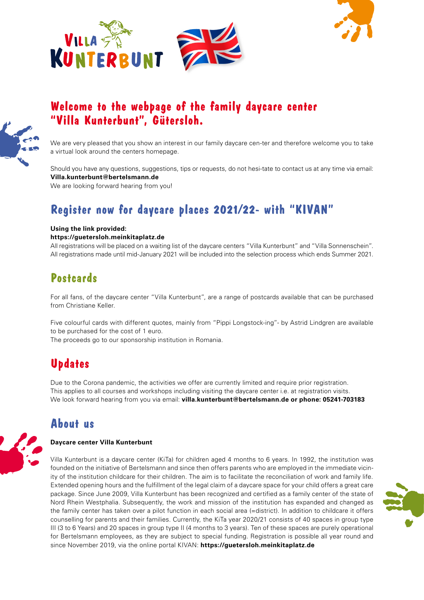



### **Welcome to the webpage of the family daycare center "Villa Kunterbunt", Gütersloh.**



Should you have any questions, suggestions, tips or requests, do not hesi-tate to contact us at any time via email: Villa.kunterbunt@bertelsmann.de We are looking forward hearing from you!

## **Register now for daycare places 2021/22- with "KIVAN"**

#### Using the link provided:

#### https://guetersloh.meinkitaplatz.de

All registrations will be placed on a waiting list of the daycare centers "Villa Kunterbunt" and "Villa Sonnenschein". All registrations made until mid-January 2021 will be included into the selection process which ends Summer 2021.

## **Postcards**

For all fans, of the daycare center "Villa Kunterbunt", are a range of postcards available that can be purchased from Christiane Keller.

Five colourful cards with different quotes, mainly from "Pippi Longstock-ing"- by Astrid Lindgren are available to be purchased for the cost of 1 euro.

The proceeds go to our sponsorship institution in Romania.

# **Updates**

Due to the Corona pandemic, the activities we offer are currently limited and require prior registration. This applies to all courses and workshops including visiting the daycare center i.e. at registration visits. We look forward hearing from you via email: villa.kunterbunt@bertelsmann.de or phone: 05241-703183

### **About us**

#### Daycare center Villa Kunterbunt

Villa Kunterbunt is a daycare center (KiTa) for children aged 4 months to 6 years. In 1992, the institution was founded on the initiative of Bertelsmann and since then offers parents who are employed in the immediate vicinity of the institution childcare for their children. The aim is to facilitate the reconciliation of work and family life. Extended opening hours and the fulfillment of the legal claim of a daycare space for your child offers a great care package. Since June 2009, Villa Kunterbunt has been recognized and certified as a family center of the state of Nord Rhein Westphalia. Subsequently, the work and mission of the institution has expanded and changed as the family center has taken over a pilot function in each social area (=district). In addition to childcare it offers counselling for parents and their families. Currently, the KiTa year 2020/21 consists of 40 spaces in group type III (3 to 6 Years) and 20 spaces in group type II (4 months to 3 years). Ten of these spaces are purely operational for Bertelsmann employees, as they are subject to special funding. Registration is possible all year round and since November 2019, via the online portal KIVAN: https://guetersloh.meinkitaplatz.de

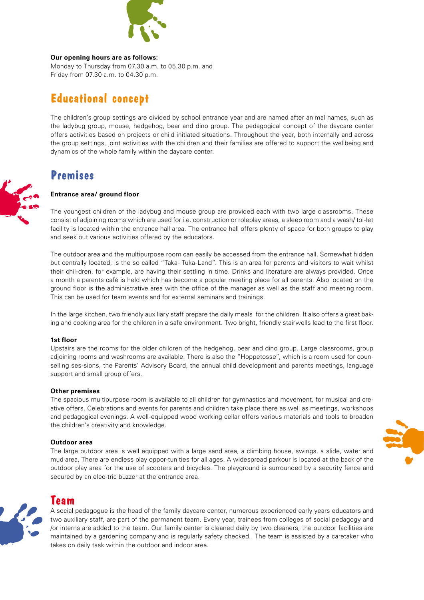

#### Our opening hours are as follows:

Monday to Thursday from 07.30 a.m. to 05.30 p.m. and Friday from 07.30 a.m. to 04.30 p.m.

## **Educational concept**

The children's group settings are divided by school entrance year and are named after animal names, such as the ladybug group, mouse, hedgehog, bear and dino group. The pedagogical concept of the daycare center offers activities based on projects or child initiated situations. Throughout the year, both internally and across the group settings, joint activities with the children and their families are offered to support the wellbeing and dynamics of the whole family within the daycare center.

### **Premises**

#### Entrance area/ ground floor

The youngest children of the ladybug and mouse group are provided each with two large classrooms. These consist of adjoining rooms which are used for i.e. construction or roleplay areas, a sleep room and a wash/ toi-let facility is located within the entrance hall area. The entrance hall offers plenty of space for both groups to play and seek out various activities offered by the educators.

The outdoor area and the multipurpose room can easily be accessed from the entrance hall. Somewhat hidden but centrally located, is the so called "Taka- Tuka-Land". This is an area for parents and visitors to wait whilst their chil-dren, for example, are having their settling in time. Drinks and literature are always provided. Once a month a parents café is held which has become a popular meeting place for all parents. Also located on the ground floor is the administrative area with the office of the manager as well as the staff and meeting room. This can be used for team events and for external seminars and trainings.

In the large kitchen, two friendly auxiliary staff prepare the daily meals for the children. It also offers a great baking and cooking area for the children in a safe environment. Two bright, friendly stairwells lead to the first floor.

#### 1st floor

Upstairs are the rooms for the older children of the hedgehog, bear and dino group. Large classrooms, group adjoining rooms and washrooms are available. There is also the "Hoppetosse", which is a room used for counselling ses-sions, the Parents' Advisory Board, the annual child development and parents meetings, language support and small group offers.

#### Other premises

The spacious multipurpose room is available to all children for gymnastics and movement, for musical and creative offers. Celebrations and events for parents and children take place there as well as meetings, workshops and pedagogical evenings. A well-equipped wood working cellar offers various materials and tools to broaden the children's creativity and knowledge.

#### Outdoor area

The large outdoor area is well equipped with a large sand area, a climbing house, swings, a slide, water and mud area. There are endless play oppor-tunities for all ages. A widespread parkour is located at the back of the outdoor play area for the use of scooters and bicycles. The playground is surrounded by a security fence and secured by an elec-tric buzzer at the entrance area.

### **Team**

A social pedagogue is the head of the family daycare center, numerous experienced early years educators and two auxiliary staff, are part of the permanent team. Every year, trainees from colleges of social pedagogy and /or interns are added to the team. Our family center is cleaned daily by two cleaners, the outdoor facilities are maintained by a gardening company and is regularly safety checked. The team is assisted by a caretaker who takes on daily task within the outdoor and indoor area.

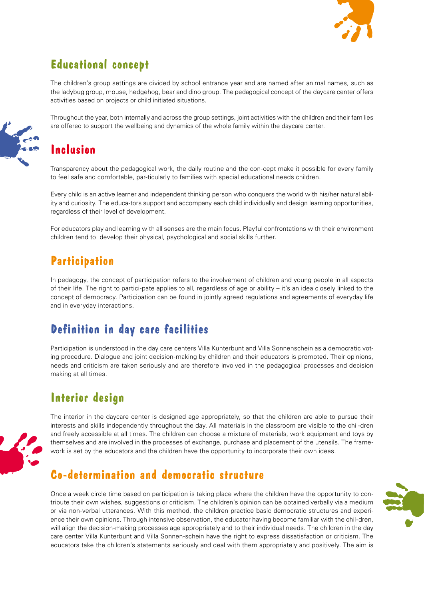

## **Educational concept**

The children's group settings are divided by school entrance year and are named after animal names, such as the ladybug group, mouse, hedgehog, bear and dino group. The pedagogical concept of the daycare center offers activities based on projects or child initiated situations.

Throughout the year, both internally and across the group settings, joint activities with the children and their families are offered to support the wellbeing and dynamics of the whole family within the daycare center.

### **Inclusion**

Transparency about the pedagogical work, the daily routine and the con-cept make it possible for every family to feel safe and comfortable, par-ticularly to families with special educational needs children.

Every child is an active learner and independent thinking person who conquers the world with his/her natural ability and curiosity. The educa-tors support and accompany each child individually and design learning opportunities, regardless of their level of development.

For educators play and learning with all senses are the main focus. Playful confrontations with their environment children tend to develop their physical, psychological and social skills further.

## **Participation**

In pedagogy, the concept of participation refers to the involvement of children and young people in all aspects of their life. The right to partici-pate applies to all, regardless of age or ability – it's an idea closely linked to the concept of democracy. Participation can be found in jointly agreed regulations and agreements of everyday life and in everyday interactions.

# **Definition in day care facilities**

Participation is understood in the day care centers Villa Kunterbunt and Villa Sonnenschein as a democratic voting procedure. Dialogue and joint decision-making by children and their educators is promoted. Their opinions, needs and criticism are taken seriously and are therefore involved in the pedagogical processes and decision making at all times.

# **Interior design**

The interior in the daycare center is designed age appropriately, so that the children are able to pursue their interests and skills independently throughout the day. All materials in the classroom are visible to the chil-dren and freely accessible at all times. The children can choose a mixture of materials, work equipment and toys by themselves and are involved in the processes of exchange, purchase and placement of the utensils. The framework is set by the educators and the children have the opportunity to incorporate their own ideas.

# **Co-determination and democratic structure**

Once a week circle time based on participation is taking place where the children have the opportunity to contribute their own wishes, suggestions or criticism. The children's opinion can be obtained verbally via a medium or via non-verbal utterances. With this method, the children practice basic democratic structures and experience their own opinions. Through intensive observation, the educator having become familiar with the chil-dren, will align the decision-making processes age appropriately and to their individual needs. The children in the day care center Villa Kunterbunt and Villa Sonnen-schein have the right to express dissatisfaction or criticism. The educators take the children's statements seriously and deal with them appropriately and positively. The aim is